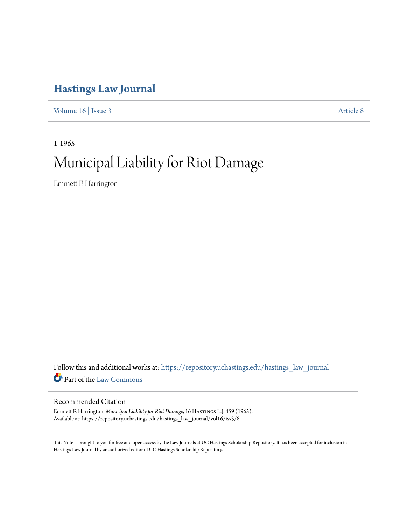# **[Hastings Law Journal](https://repository.uchastings.edu/hastings_law_journal?utm_source=repository.uchastings.edu%2Fhastings_law_journal%2Fvol16%2Fiss3%2F8&utm_medium=PDF&utm_campaign=PDFCoverPages)**

[Volume 16](https://repository.uchastings.edu/hastings_law_journal/vol16?utm_source=repository.uchastings.edu%2Fhastings_law_journal%2Fvol16%2Fiss3%2F8&utm_medium=PDF&utm_campaign=PDFCoverPages) | [Issue 3](https://repository.uchastings.edu/hastings_law_journal/vol16/iss3?utm_source=repository.uchastings.edu%2Fhastings_law_journal%2Fvol16%2Fiss3%2F8&utm_medium=PDF&utm_campaign=PDFCoverPages) [Article 8](https://repository.uchastings.edu/hastings_law_journal/vol16/iss3/8?utm_source=repository.uchastings.edu%2Fhastings_law_journal%2Fvol16%2Fiss3%2F8&utm_medium=PDF&utm_campaign=PDFCoverPages)

1-1965

# Municipal Liability for Riot Damage

Emmett F. Harrington

Follow this and additional works at: [https://repository.uchastings.edu/hastings\\_law\\_journal](https://repository.uchastings.edu/hastings_law_journal?utm_source=repository.uchastings.edu%2Fhastings_law_journal%2Fvol16%2Fiss3%2F8&utm_medium=PDF&utm_campaign=PDFCoverPages) Part of the [Law Commons](http://network.bepress.com/hgg/discipline/578?utm_source=repository.uchastings.edu%2Fhastings_law_journal%2Fvol16%2Fiss3%2F8&utm_medium=PDF&utm_campaign=PDFCoverPages)

# Recommended Citation

Emmett F. Harrington, *Municipal Liability for Riot Damage*, 16 HASTINGS L.J. 459 (1965). Available at: https://repository.uchastings.edu/hastings\_law\_journal/vol16/iss3/8

This Note is brought to you for free and open access by the Law Journals at UC Hastings Scholarship Repository. It has been accepted for inclusion in Hastings Law Journal by an authorized editor of UC Hastings Scholarship Repository.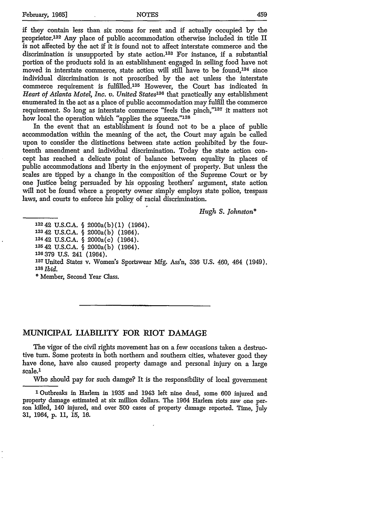if they contain less than six rooms for rent and if actually occupied by the proprietor.13 2 Any place of public accommodation otherwise included in title II is not affected by the act if it is found not to affect interstate commerce and the discrimination is unsupported by state action. 133 For instance, if a substantial portion of the products sold in an establishment engaged in selling food have not moved in interstate commerce, state action will still have to be found,  $134$  since individual discrimination is not proscribed by the act unless the interstate commerce requirement is fulfilled. 135 However, the Court has indicated in *Heart of Atlanta Motel, Inc. v. United States136* that practically any establishment enumerated in the act as a place of public accommodation may fulfill the commerce requirement. So long as interstate commerce "feels the pinch,"137 it matters not how local the operation which "applies the squeeze."138

In the event that an establishment is found not to be a place of public accommodation within the meaning of the act, the Court may again be called upon to consider the distinctions between state action prohibited by the fourteenth amendment and individual discrimination. Today the state action concept has reached a delicate point of balance between equality in places of public accommodations and liberty in the enjoyment of property. But unless the scales are tipped by a change in the composition of the Supreme Court or by one Justice being persuaded by his opposing brothers' argument, state action will not be found where a property owner simply employs state police, trespass laws, and courts to enforce his policy of racial discrimination.

*Hugh S. Johnston\**

## **MUNICIPAL LIABILITY FOR RIOT DAMAGE**

The vigor of the civil rights movement has on a few occasions taken a destructive turn. Some protests in both northern and southern cities, whatever good they have done, have also caused property damage and personal injury on a large scale.<sup>1</sup>

Who should pay for such damge? It is the responsibility of local government

**1** Outbreaks in Harlem in 1935 and 1943 left nine dead, some 600 injured and property damage estimated at six million dollars. The 1964 Harlem riots saw one person killed, 140 injured, and over 500 cases of property damage reported. Time, July **31,** 1964, **p. 11, 15, 16.**

<sup>13242</sup> **U.S.C.A. §** 2000a(b)(1) (1964). 13342 **U.S.C.A.** § 2000a(b) (1964). 13442 U.S.C.A. § 2000a(c) (1964). '35 42 U.S.C.A. § 2000a(b) (1964). **136379 U.S.** 241 (1964). 137United States v. Women's Sportswear Mfg. Ass'n, **336** U.S. 460, 464 (1949). **<sup>138</sup>***Ibid.* **\*** Member, Second Year Class.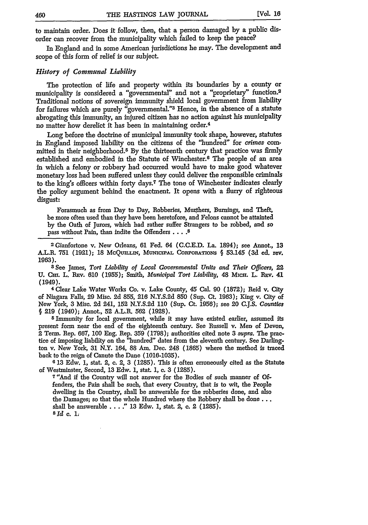to maintain order. Does it follow, then, that a person damaged **by** a public disorder can recover from the municipality which failed to keep the peace?

In England and in some American jurisdictions he may. The development and scope of this form of relief is our subject.

### *History of Communal Liability*

The protection of life and property within its boundaries by a county or municipality is considered a "governmental" and not a "proprietary" function.<sup>2</sup> Traditional notions of sovereign immunity shield local government from liability for failures which are purely "governmental."3 Hence, in the absence of a statute abrogating this immunity, an injured citizen has no action against his municipality no matter how derelict it has been in maintaining order.4

Long before the doctrine of municipal immunity took shape, however, statutes in England imposed liability on the citizens of the "hundred" for *crimes* committed in their neighborhood. <sup>5</sup>**By** the thirteenth century that practice was firmly established and embodied in the Statute of Winchester.<sup>6</sup> The people of an area in which a felony or robbery had occurred would have to make good whatever monetary loss had been suffered unless they could deliver the responsible criminals to the king's officers within forty days.7 The tone of Winchester indicates clearly the policy argument behind the enactment. It opens with a flurry of righteous disgust:

Forasmuch as from Day to Day, Robberies, Murthers, Burnings, and Theft, be more often used than they have been heretofore, and Felons cannot be attainted **by** the Oath of Jurors, which had rather suffer Strangers to be robbed, and so pass without Pain, than indite the Offenders .... **8**

2 Gianfortone v. New Orleans, 61 Fed. 64 (C.C.E.D. La. 1894); see Annot., **13** A.L.R. 751 (1921); 18 McQumlin, Municipal Corporations § 53.145 (3d ed. rev. 1963).

**3** See James, *Tort Liability of Local Governmental Units and Their Officers,* 22 **U.** Cm. L. REv. 610 (1955); Smith, *Municipal Tort Liability,* 48 MicH. L. REV. 41 (1949).

**4** Clear Lake Water Works Co. v. Lake County, 45 Cal. **90 (1872);** Reid v. City of Niagara Falls, **29** Misc. **2d** 855, **216 N.Y.S.2d 850** (Sup. Ct. **1963);** King v. City of New York, **3** Misc. **2d** 241, **152 N.Y.S.2d 110** (Sup. Ct. **1956);** see 20 **C.J.S.** *Counties* § **219** (1940); Annot., **52** A.L.R. 562 **(1928).**

**<sup>5</sup>**Immunity for local government, while it may have existed earlier, assumed its present form near the end of the eighteenth century. See Russell v. Men of Devon, 2 Term. Rep. **667, 100** Eng. Rep. **359 (1798);** authorities cited note **3** *supra.* The practice of imposing liability on the "hundred" dates from the eleventh century. See Darlington v. New York, **31** N.Y. 164, **88** Am. Dec. 248 **(1865)** where the method is traced back to the reign of Canute the Dane **(1016-1035).**

**6 13** Edw. **1,** stat. 2, **c.** 2, **3 (1285).** This is often erroneously cited as the Statute of Westminster, Second, **13** Edw. **1,** stat. **1,** c. **3 (1285).**

7"And if the Country will not answer for the Bodies of such manner of Offenders, the Pain shall be such, that every Country, that is to wit, the People dwelling in the Country, shall be answerable for the robberies done, and also the Damages; so that the whole Hundred where the Robbery shall be **done...** shall be answerable... **13** Edw. **1,** stat. 2, c. 2 **(1285). sid c.** 1.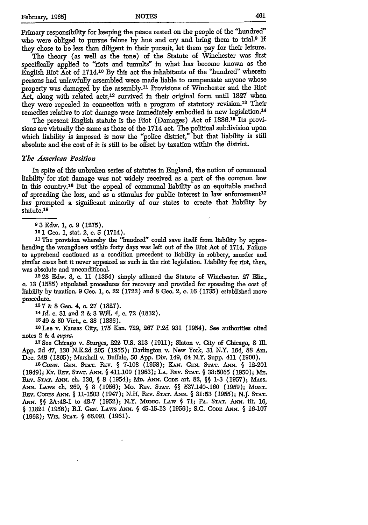Primary responsibility for keeping the peace rested on the people of the "hundred" who were obliged to pursue felons by hue and cry and bring them to trial.<sup>9</sup> If they chose to be less than diligent in their pursuit, let them pay for their leisure.

The theory (as well as the tone) of the Statute of Winchester was first specifically applied to "riots and tumults" in what has become known as the English Riot Act of 1714.10 **By** this act the inhabitants of the "hundred" wherein persons had unlawfully assembled were made liable to compensate anyone whose property was damaged by the assembly.<sup>11</sup> Provisions of Winchester and the Riot Act, along with related acts,<sup>12</sup> survived in their original form until 1827 when they were repealed in connection with a program of statutory revision.<sup>13</sup> Their remedies relative to riot damage were immediately embodied in new legislation. <sup>14</sup>

The present English statute is the Riot (Damages) Act of 1886.15 Its provisions are virtually the same as those of the 1714 act. The political subdivision upon which liability is imposed is now the "police district," but that liability is still absolute and the cost of it is still to be offset **by** taxation within the district.

#### *The American Position*

In spite of this unbroken series of statutes in England, the notion of communal liability for riot damage was not widely received as a part of the common law in this country.<sup>16</sup> But the appeal of communal liability as an equitable method of spreading the loss, and as a stimulus for public interest in law enforcement<sup>17</sup> has prompted a significant minority of our states to create that liability **by** statute.18

**9 3** Edw. 1, c. 9 (1275).

**101** Geo. 1, stat. 2, c. **5** (1714).

<sup>11</sup> The provision whereby the "hundred" could save itself from liability by apprehending the wrongdoers within forty days was left out of the Riot Act of 1714. Failure to apprehend continued as a condition precedent to liability **in** robbery, murder and similar cases but it never appeared as such in the riot legislation. Liability for riot, then, was absolute and unconditional.

**1228** Edw. 3, c. 11 (1354) simply affrmed the Statute of Winchester. 27 Eliz., c. 13 (1585) stipulated procedures for recovery and provided for spreading the cost of liability by taxation. 9 Geo. 1, **c.** 22 (1722) and 8 Geo. 2, c. 16 (1735) established more procedure. **<sup>137</sup>**& 8 Geo. 4, c. **27** (1827).

**<sup>14</sup>***Id.* c. **31** and 2 & **3** Will. 4, c. **72** (,1832).

**1549** & **50** Viet., **c. 38 (1886).**

**16Lee** v. Kansas City, **175** Kan. **729, 267 P.2d 931** (1954). See authorities cited notes 2 & 4 *supra.*

**17See** Chicago v. Sturges, 222 U.S. 313 (1911); Slaton v. City of Chicago, 8 I1M. **App.** 2d 47, 130 N.E.2d 205 (1955); Darlington v. New York, 31 N.Y. 164, 88 Am. Dec. 248 (1865); Marshall v. Buffalo, 50 **App.** Div. 149, 64 N.Y. Supp. 411 **(1900). <sup>I</sup>**

**<sup>8</sup> CoNN. GEN. STAT. Bnv.** *§* **7-108** (1958); **KAN. GEN. STAT.** *ANN. §* 12-201 (1949); Ky. Rev. Stat. ANN. § 411.100 (1963); La. Rev. Stat. § 33:5065 (1950); Me. **Rxv. STAT.** *ANN.* ch. **136,** *§* **8** (1954); Mi. **ANN. CODE** art. **82,** *§§* **1-3 (1957);** MAss. *ANN.* **LAws ch. 269,** *§* 8 (1956); Mo. Bnv. **STAT.** *§§* 537.140-.160 **(1959);** MoNT. **BEv. CODES ANN.** *§* 11-1503 (1947); **N.H.** Ray. **STAT.** *ANN. §* 31:53 (1955); **N.J. STAT.** *ANN. §§* 2A:48-1 to 48-7 (1952); N.Y. **Mumc. LAw** *§* 71; **PA. STAT. ANN.** tit. **16,** *§* 11821 (1956); R.I. *G N.* LAws ANN. *§* 45-15-13 (1956); S.C. **CODE** ANN. *§* 16-107 (1962); Wis. **STAT.** *§* 66.091 (1961).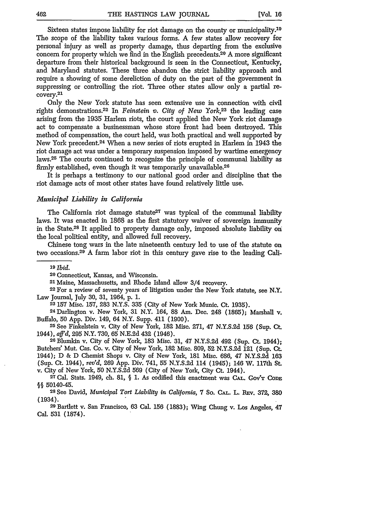Sixteen states impose liability for riot damage on the county or municipality. <sup>19</sup> The scope of the liability takes various forms. A few states allow recovery for personal injury as well as property damage, thus departing from the exclusive concern for property which we find in the English precedents. 20 A more significant departure from their historical background is seen in the Connecticut, Kentucky, and Maryland statutes. These three abandon the strict liability approach and require a showing of some dereliction of duty on the part of the government in suppressing or controlling the riot. Three other states allow only a partial recovery. 21

Only the New York statute has seen extensive use in connection with civil rights demonstrations.<sup>22</sup> In *Feinstein v. City of New York*,<sup>23</sup> the leading case arising from the 1935 Harlem riots, the court applied the New York riot damage act to compensate a businessman whose store front had been destroyed. This method of compensation, the court held, was both practical and well supported by New York precedent.2 4 When a new series of riots erupted in Harlem in 1943 the riot damage act was under a temporary suspension imposed by wartime emergency laws.25 The courts continued to recognize the principle of communal liability as firmly established, even though it was temporarily unavailable. <sup>26</sup>

It is perhaps a testimony to our national good order and discipline that the riot damage acts of most other states have found relatively little use.

#### *Municipal Liability in California*

The California riot damage statute<sup>27</sup> was typical of the communal liability laws. It was enacted in 1868 as the first statutory waiver of sovereign immunity in the State.<sup>28</sup> It applied to property damage only, imposed absolute liability on the local political entity, and allowed full recovery.

Chinese tong wars in the late nineteenth century led to use of the statute on two occasions.29 A farm labor riot in this century gave rise to the leading Cali-

**'9** *Ibid.*

**<sup>20</sup>**Connecticut, Kansas, and Wisconsin. <sup>2</sup> 1 Maine, Massachusetts, and Rhode Island allow 3/4 recovery.

**22** For a review of seventy years of litigation under the New York statute, see N.Y. Law Journal, July 30, 31, 1964, p. 1.

**23 157** Misc. 157, 283 **N.Y.S.** 335 (City of New York Munic. Ct. 1935). <sup>24</sup> Darlington v. New York, 31 N.Y. 164, 88 Am. Dec. 248 (1865); Marshall v. Buffalo, 50 App. Div. 149, 64 N.Y. Supp. 411 (1900). **<sup>25</sup>**See Finkelstein v. City of New York, 182 Misc. 271, 47 N.Y.S.2d 156 (Sup. Ct.

1944), *aff'd,* 295 N.Y. 730, 65 N.E.2d 432 (1946). **<sup>26</sup>**Blumldn v. City of New York, 183 Misc. 31, 47 N.Y.S.2d 492 (Sup. Ct. 1944);

Butchers' Mut. Cas. Co. v. City of New York, 182 Misc. 809, 52 N.Y.S.2d 121 (Sup. Ct. 1944); D & D Chemist Shops v. City of New York, 181 Misc. 686, 47 N.Y.S.2d 163 (Sup. Ct. 1944), *rev'd,* **269** App. Div. 741, 55 N.Y.S.2d 114 (1945); 146 W. 117th St. v. City of New York, **50** N.Y.S.2d 569 (City of New York, City Ct. 1944).

**27** Cal. Stats. 1949, ch. 81, § 1. As codified this enactment was **CAL.** GOV'T **CoDE** §§ 50140-45. **<sup>2</sup> <sup>8</sup>See** David, *Municipal Tort Liability in California,* 7 So. **CAL. L. REv. 372, 380**

(1934). **<sup>29</sup>**Bartlett v. San Francisco, **63** Cal. **156 (1883);** Wing Chung v. Los Angeles, 47

Cal. **531 (1874).**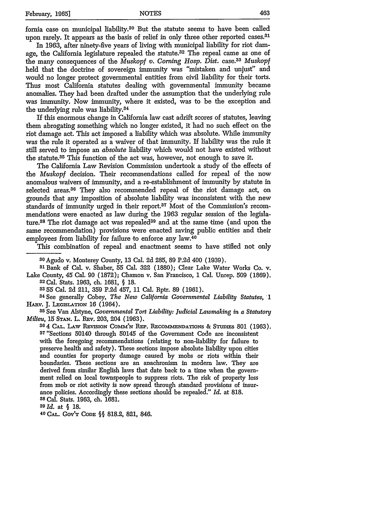fomia case on municipal liability.3° But the statute seems to have been called upon rarely. It appears as the basis of relief in only three other reported cases.<sup>31</sup>

In 1963, after ninety-five years of living with municipal liability for riot damage, the California legislature repealed the statute. $32$  The repeal came as one of the many consequences of the *Muskopf v. Coming Hosp. Dist.* case.<sup>33</sup>*Muskopf* held that the doctrine of sovereign immunity was "mistaken and unjust" and would no longer protect governmental entities from civil liability for their torts. Thus most California statutes dealing with governmental immunity became anomalies. They had been drafted under the assumption that the underlying rule was immunity. Now immunity, where it existed, was to be the exception and the underlying rule was liability.<sup>34</sup>

If this enormous change in California law cast adrift scores of statutes, leaving them abrogating something which no longer existed, it had no such effect on the riot damage act. This act imposed a liability which was absolute. While immunity was the rule it operated as a waiver of that immunity. If liability was the rule it still served to impose an *absolute* liability which would not have existed without the statute.<sup>35</sup> This function of the act was, however, not enough to save it.

The California Law Revision Commission undertook a study of the effects of the *Muskopf* decision. Their recommendations called for repeal of the now anomalous waivers of immunity, and a re-establishment of immunity by statute in selected areas.<sup>36</sup> They also recommended repeal of the riot damage act, on grounds that any imposition of absolute liability was inconsistent with the new standards of immunity urged in their report.<sup>37</sup> Most of the Commission's recommendations were enacted as law during the 1963 regular session of the legislature.<sup>38</sup> The riot damage act was repealed<sup>39</sup> and at the same time (and upon the same recommendation) provisions were enacted saving public entities and their employees from liability for failure to enforce any law.<sup>49</sup>

This combination of repeal and enactment seems to have stifled not only

3 0Agudo v. Monterey County, **13** Cal. 2d 285, 89 P.2d 400 (1939).

**<sup>31</sup>**Bank of Cal. v. Shaber, 55 Cal. 322 (1880); Clear Lake Water Works Co. v. Lake County, 45 Cal. 90 (1872); Chamon v. San Francisco, **1** Cal. Unrep. 509 (1869). **32** Cal. Stats. 1963, **Ch.** 1681, **§** 18.

**3355** Cal. **2d** 211, 359 P.2d 457, 11 Cal. Rptr. 89 **(1961).**

**34See** generally Cobey, *The New California Governmental Liability Statutes, '1* HArr. J. **LGIsLATiON 16** (1964).

**<sup>35</sup>**See Van Alstyne, *Governmental Tort Liability: Judicial Lawmaking in a Statutory Milieu, 15 STAN. L. REV. 203, 204 (1963).* 

**304 CAL. LA W REvmiON** CownviN **REP. RECOmimNDATiONS** & SnmnEs **801** (1963). **<sup>3</sup> <sup>7</sup>**"Sections 50140 through 50145 of the Government Code are inconsistent with the foregoing recommendations (relating to non-liability for failure to preserve health and safety). These sections impose absolute liability upon cities and counties for property damage caused **by** mobs or riots within their boundaries. These sections are an anachronism in modem law. They are derived from similar English laws that date back to a time when the government relied on local townspeople to suppress riots. The risk of property loss from mob or riot activity is now spread through standard provisions of insurance policies. Accordingly these sections should be repealed." *Id.* at 818. **38** Cal. Stats. 1963, ch. 1681.

*39 Id.* at **§ 18.**

**40 CAL.** GovT CODE §§ **818.2,** 821, 846.